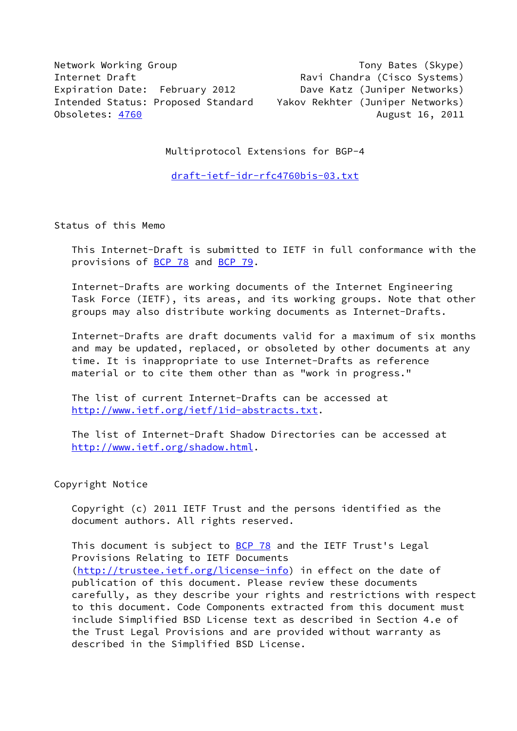Network Working Group Tony Bates (Skype) Internet Draft **Ravi Chandra (Cisco Systems)** Expiration Date: February 2012 Dave Katz (Juniper Networks) Intended Status: Proposed Standard Yakov Rekhter (Juniper Networks) Obsoletes: <u>4760</u> August 16, 2011

Multiprotocol Extensions for BGP-4

[draft-ietf-idr-rfc4760bis-03.txt](https://datatracker.ietf.org/doc/pdf/draft-ietf-idr-rfc4760bis-03.txt)

Status of this Memo

 This Internet-Draft is submitted to IETF in full conformance with the provisions of [BCP 78](https://datatracker.ietf.org/doc/pdf/bcp78) and [BCP 79](https://datatracker.ietf.org/doc/pdf/bcp79).

 Internet-Drafts are working documents of the Internet Engineering Task Force (IETF), its areas, and its working groups. Note that other groups may also distribute working documents as Internet-Drafts.

 Internet-Drafts are draft documents valid for a maximum of six months and may be updated, replaced, or obsoleted by other documents at any time. It is inappropriate to use Internet-Drafts as reference material or to cite them other than as "work in progress."

 The list of current Internet-Drafts can be accessed at <http://www.ietf.org/ietf/1id-abstracts.txt>.

 The list of Internet-Draft Shadow Directories can be accessed at <http://www.ietf.org/shadow.html>.

# Copyright Notice

 Copyright (c) 2011 IETF Trust and the persons identified as the document authors. All rights reserved.

This document is subject to **[BCP 78](https://datatracker.ietf.org/doc/pdf/bcp78)** and the IETF Trust's Legal Provisions Relating to IETF Documents [\(http://trustee.ietf.org/license-info](http://trustee.ietf.org/license-info)) in effect on the date of publication of this document. Please review these documents carefully, as they describe your rights and restrictions with respect to this document. Code Components extracted from this document must include Simplified BSD License text as described in Section 4.e of the Trust Legal Provisions and are provided without warranty as described in the Simplified BSD License.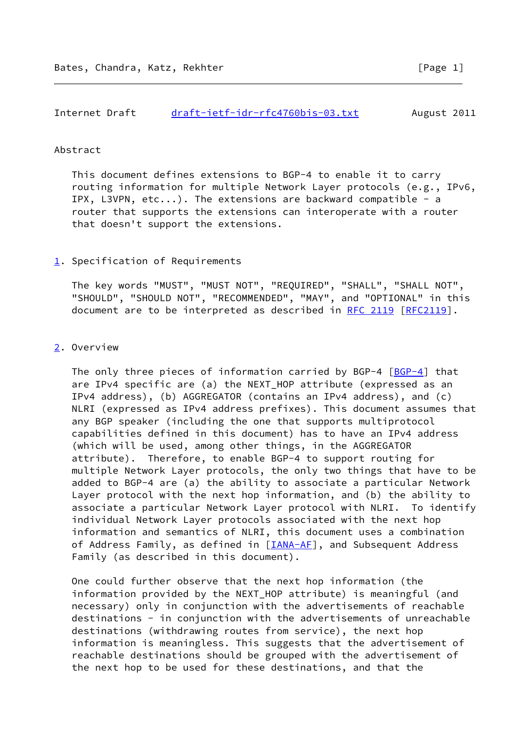#### Abstract

 This document defines extensions to BGP-4 to enable it to carry routing information for multiple Network Layer protocols (e.g., IPv6, IPX, L3VPN, etc...). The extensions are backward compatible - a router that supports the extensions can interoperate with a router that doesn't support the extensions.

# <span id="page-1-0"></span>[1](#page-1-0). Specification of Requirements

 The key words "MUST", "MUST NOT", "REQUIRED", "SHALL", "SHALL NOT", "SHOULD", "SHOULD NOT", "RECOMMENDED", "MAY", and "OPTIONAL" in this document are to be interpreted as described in [RFC 2119 \[RFC2119](https://datatracker.ietf.org/doc/pdf/rfc2119)].

### <span id="page-1-1"></span>[2](#page-1-1). Overview

 The only three pieces of information carried by BGP-4 [[BGP-4\]](#page-12-0) that are IPv4 specific are (a) the NEXT\_HOP attribute (expressed as an IPv4 address), (b) AGGREGATOR (contains an IPv4 address), and (c) NLRI (expressed as IPv4 address prefixes). This document assumes that any BGP speaker (including the one that supports multiprotocol capabilities defined in this document) has to have an IPv4 address (which will be used, among other things, in the AGGREGATOR attribute). Therefore, to enable BGP-4 to support routing for multiple Network Layer protocols, the only two things that have to be added to BGP-4 are (a) the ability to associate a particular Network Layer protocol with the next hop information, and (b) the ability to associate a particular Network Layer protocol with NLRI. To identify individual Network Layer protocols associated with the next hop information and semantics of NLRI, this document uses a combination of Address Family, as defined in [\[IANA-AF](#page-12-1)], and Subsequent Address Family (as described in this document).

 One could further observe that the next hop information (the information provided by the NEXT\_HOP attribute) is meaningful (and necessary) only in conjunction with the advertisements of reachable destinations - in conjunction with the advertisements of unreachable destinations (withdrawing routes from service), the next hop information is meaningless. This suggests that the advertisement of reachable destinations should be grouped with the advertisement of the next hop to be used for these destinations, and that the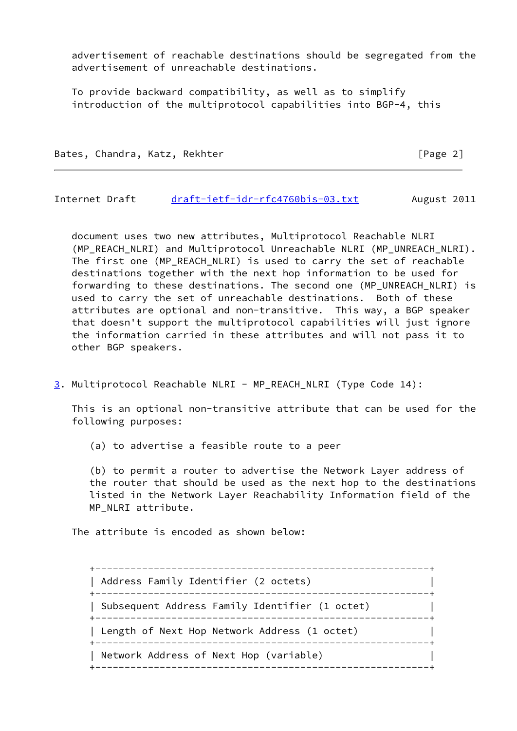advertisement of reachable destinations should be segregated from the advertisement of unreachable destinations.

 To provide backward compatibility, as well as to simplify introduction of the multiprotocol capabilities into BGP-4, this

Bates, Chandra, Katz, Rekhter [Page 2]

Internet Draft [draft-ietf-idr-rfc4760bis-03.txt](https://datatracker.ietf.org/doc/pdf/draft-ietf-idr-rfc4760bis-03.txt) August 2011

 document uses two new attributes, Multiprotocol Reachable NLRI (MP\_REACH\_NLRI) and Multiprotocol Unreachable NLRI (MP\_UNREACH\_NLRI). The first one (MP\_REACH\_NLRI) is used to carry the set of reachable destinations together with the next hop information to be used for forwarding to these destinations. The second one (MP UNREACH NLRI) is used to carry the set of unreachable destinations. Both of these attributes are optional and non-transitive. This way, a BGP speaker that doesn't support the multiprotocol capabilities will just ignore the information carried in these attributes and will not pass it to other BGP speakers.

<span id="page-2-0"></span>[3](#page-2-0). Multiprotocol Reachable NLRI - MP\_REACH\_NLRI (Type Code 14):

 This is an optional non-transitive attribute that can be used for the following purposes:

(a) to advertise a feasible route to a peer

 (b) to permit a router to advertise the Network Layer address of the router that should be used as the next hop to the destinations listed in the Network Layer Reachability Information field of the MP\_NLRI attribute.

The attribute is encoded as shown below:

 +---------------------------------------------------------+ | Address Family Identifier (2 octets) | +---------------------------------------------------------+ | Subsequent Address Family Identifier (1 octet) | +---------------------------------------------------------+ | Length of Next Hop Network Address (1 octet) +---------------------------------------------------------+ | Network Address of Next Hop (variable) | +---------------------------------------------------------+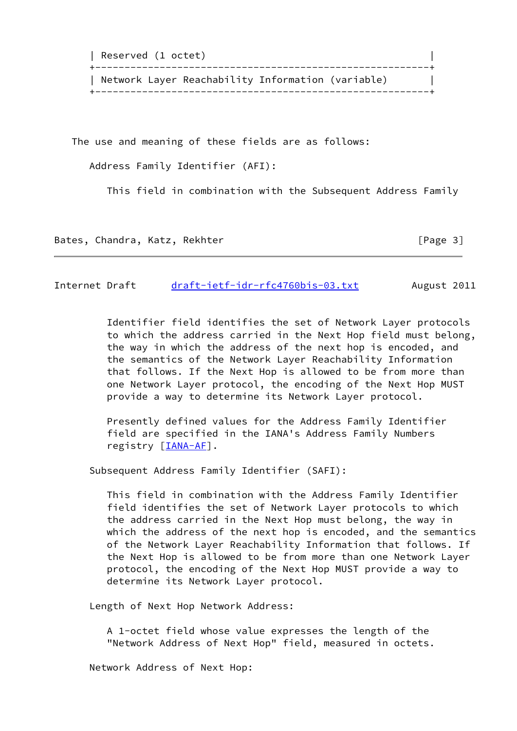| Reserved (1 octet)                                |  |
|---------------------------------------------------|--|
| Network Layer Reachability Information (variable) |  |

The use and meaning of these fields are as follows:

Address Family Identifier (AFI):

This field in combination with the Subsequent Address Family

Bates, Chandra, Katz, Rekhter [Page 3]

Internet Draft [draft-ietf-idr-rfc4760bis-03.txt](https://datatracker.ietf.org/doc/pdf/draft-ietf-idr-rfc4760bis-03.txt) August 2011

 Identifier field identifies the set of Network Layer protocols to which the address carried in the Next Hop field must belong, the way in which the address of the next hop is encoded, and the semantics of the Network Layer Reachability Information that follows. If the Next Hop is allowed to be from more than one Network Layer protocol, the encoding of the Next Hop MUST provide a way to determine its Network Layer protocol.

 Presently defined values for the Address Family Identifier field are specified in the IANA's Address Family Numbers registry [\[IANA-AF](#page-12-1)].

Subsequent Address Family Identifier (SAFI):

 This field in combination with the Address Family Identifier field identifies the set of Network Layer protocols to which the address carried in the Next Hop must belong, the way in which the address of the next hop is encoded, and the semantics of the Network Layer Reachability Information that follows. If the Next Hop is allowed to be from more than one Network Layer protocol, the encoding of the Next Hop MUST provide a way to determine its Network Layer protocol.

Length of Next Hop Network Address:

 A 1-octet field whose value expresses the length of the "Network Address of Next Hop" field, measured in octets.

Network Address of Next Hop: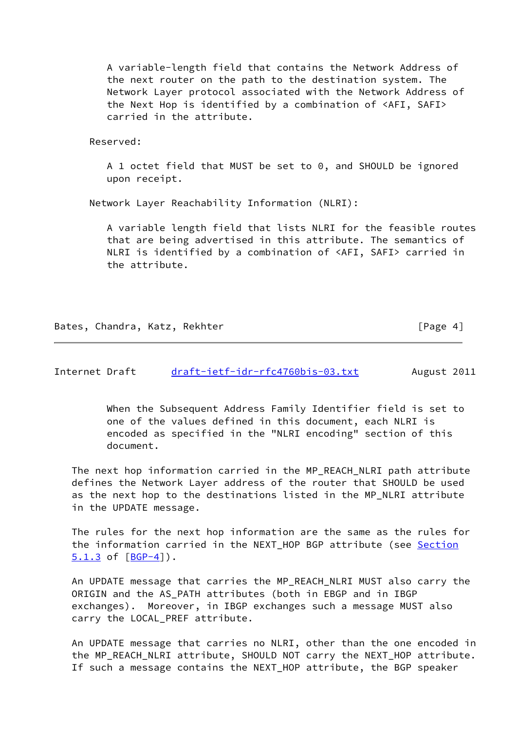A variable-length field that contains the Network Address of the next router on the path to the destination system. The Network Layer protocol associated with the Network Address of the Next Hop is identified by a combination of <AFI, SAFI> carried in the attribute.

Reserved:

 A 1 octet field that MUST be set to 0, and SHOULD be ignored upon receipt.

Network Layer Reachability Information (NLRI):

 A variable length field that lists NLRI for the feasible routes that are being advertised in this attribute. The semantics of NLRI is identified by a combination of <AFI, SAFI> carried in the attribute.

Bates, Chandra, Katz, Rekhter [Page 4]

Internet Draft [draft-ietf-idr-rfc4760bis-03.txt](https://datatracker.ietf.org/doc/pdf/draft-ietf-idr-rfc4760bis-03.txt) August 2011

 When the Subsequent Address Family Identifier field is set to one of the values defined in this document, each NLRI is encoded as specified in the "NLRI encoding" section of this document.

 The next hop information carried in the MP\_REACH\_NLRI path attribute defines the Network Layer address of the router that SHOULD be used as the next hop to the destinations listed in the MP\_NLRI attribute in the UPDATE message.

 The rules for the next hop information are the same as the rules for the information carried in the NEXT\_HOP BGP attribute (see Section  $5.1.3$  of  $[BGP-4]$ .

 An UPDATE message that carries the MP\_REACH\_NLRI MUST also carry the ORIGIN and the AS\_PATH attributes (both in EBGP and in IBGP exchanges). Moreover, in IBGP exchanges such a message MUST also carry the LOCAL\_PREF attribute.

 An UPDATE message that carries no NLRI, other than the one encoded in the MP\_REACH\_NLRI attribute, SHOULD NOT carry the NEXT\_HOP attribute. If such a message contains the NEXT\_HOP attribute, the BGP speaker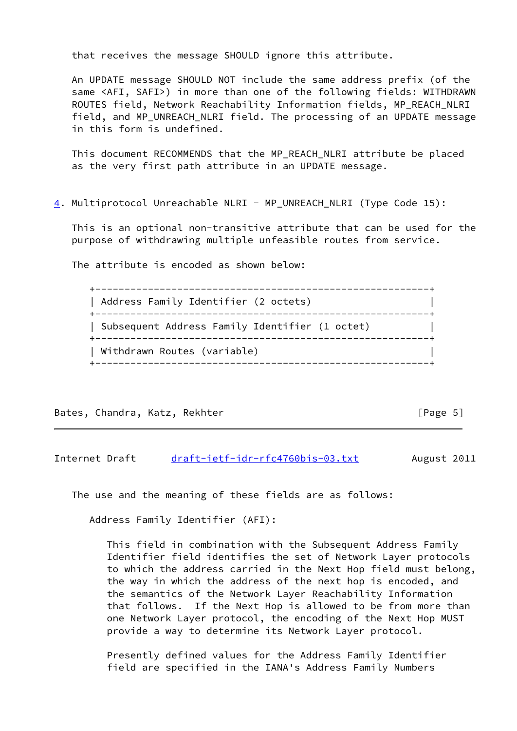that receives the message SHOULD ignore this attribute.

 An UPDATE message SHOULD NOT include the same address prefix (of the same <AFI, SAFI>) in more than one of the following fields: WITHDRAWN ROUTES field, Network Reachability Information fields, MP\_REACH\_NLRI field, and MP\_UNREACH\_NLRI field. The processing of an UPDATE message in this form is undefined.

 This document RECOMMENDS that the MP\_REACH\_NLRI attribute be placed as the very first path attribute in an UPDATE message.

<span id="page-5-0"></span>[4](#page-5-0). Multiprotocol Unreachable NLRI - MP\_UNREACH\_NLRI (Type Code 15):

 This is an optional non-transitive attribute that can be used for the purpose of withdrawing multiple unfeasible routes from service.

The attribute is encoded as shown below:

 +---------------------------------------------------------+ | Address Family Identifier (2 octets) | +---------------------------------------------------------+ | Subsequent Address Family Identifier (1 octet) | +---------------------------------------------------------+ | Withdrawn Routes (variable) | +---------------------------------------------------------+

Bates, Chandra, Katz, Rekhter [Page 5]

Internet Draft [draft-ietf-idr-rfc4760bis-03.txt](https://datatracker.ietf.org/doc/pdf/draft-ietf-idr-rfc4760bis-03.txt) August 2011

The use and the meaning of these fields are as follows:

Address Family Identifier (AFI):

 This field in combination with the Subsequent Address Family Identifier field identifies the set of Network Layer protocols to which the address carried in the Next Hop field must belong, the way in which the address of the next hop is encoded, and the semantics of the Network Layer Reachability Information that follows. If the Next Hop is allowed to be from more than one Network Layer protocol, the encoding of the Next Hop MUST provide a way to determine its Network Layer protocol.

 Presently defined values for the Address Family Identifier field are specified in the IANA's Address Family Numbers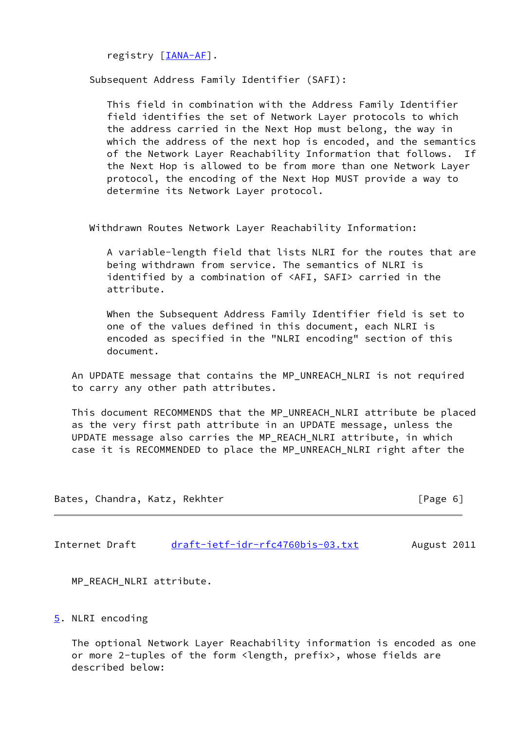registry [\[IANA-AF](#page-12-1)].

Subsequent Address Family Identifier (SAFI):

 This field in combination with the Address Family Identifier field identifies the set of Network Layer protocols to which the address carried in the Next Hop must belong, the way in which the address of the next hop is encoded, and the semantics of the Network Layer Reachability Information that follows. the Next Hop is allowed to be from more than one Network Layer protocol, the encoding of the Next Hop MUST provide a way to determine its Network Layer protocol.

Withdrawn Routes Network Layer Reachability Information:

 A variable-length field that lists NLRI for the routes that are being withdrawn from service. The semantics of NLRI is identified by a combination of <AFI, SAFI> carried in the attribute.

 When the Subsequent Address Family Identifier field is set to one of the values defined in this document, each NLRI is encoded as specified in the "NLRI encoding" section of this document.

 An UPDATE message that contains the MP\_UNREACH\_NLRI is not required to carry any other path attributes.

 This document RECOMMENDS that the MP\_UNREACH\_NLRI attribute be placed as the very first path attribute in an UPDATE message, unless the UPDATE message also carries the MP\_REACH\_NLRI attribute, in which case it is RECOMMENDED to place the MP\_UNREACH\_NLRI right after the

Bates, Chandra, Katz, Rekhter [Page 6]

Internet Draft [draft-ietf-idr-rfc4760bis-03.txt](https://datatracker.ietf.org/doc/pdf/draft-ietf-idr-rfc4760bis-03.txt) August 2011

MP\_REACH\_NLRI attribute.

<span id="page-6-0"></span>[5](#page-6-0). NLRI encoding

 The optional Network Layer Reachability information is encoded as one or more 2-tuples of the form <length, prefix>, whose fields are described below: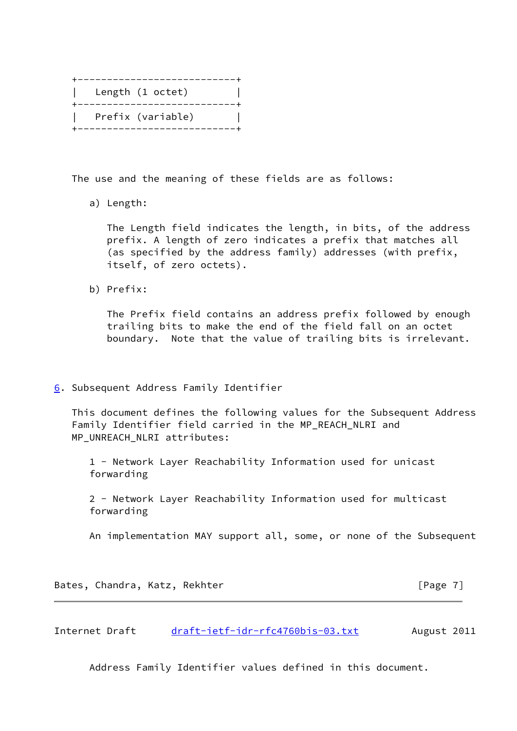|  | . _ _ _ _ _ _ _ _ _ _ _ _ _ _ _ _ |  |
|--|-----------------------------------|--|
|  | Length (1 octet)                  |  |
|  | ---------                         |  |
|  | Prefix (variable)                 |  |
|  | ---------                         |  |

The use and the meaning of these fields are as follows:

a) Length:

 The Length field indicates the length, in bits, of the address prefix. A length of zero indicates a prefix that matches all (as specified by the address family) addresses (with prefix, itself, of zero octets).

b) Prefix:

 The Prefix field contains an address prefix followed by enough trailing bits to make the end of the field fall on an octet boundary. Note that the value of trailing bits is irrelevant.

<span id="page-7-0"></span>[6](#page-7-0). Subsequent Address Family Identifier

 This document defines the following values for the Subsequent Address Family Identifier field carried in the MP\_REACH\_NLRI and MP\_UNREACH\_NLRI attributes:

 1 - Network Layer Reachability Information used for unicast forwarding

 2 - Network Layer Reachability Information used for multicast forwarding

An implementation MAY support all, some, or none of the Subsequent

Bates, Chandra, Katz, Rekhter [Page 7]

Internet Draft [draft-ietf-idr-rfc4760bis-03.txt](https://datatracker.ietf.org/doc/pdf/draft-ietf-idr-rfc4760bis-03.txt) August 2011

Address Family Identifier values defined in this document.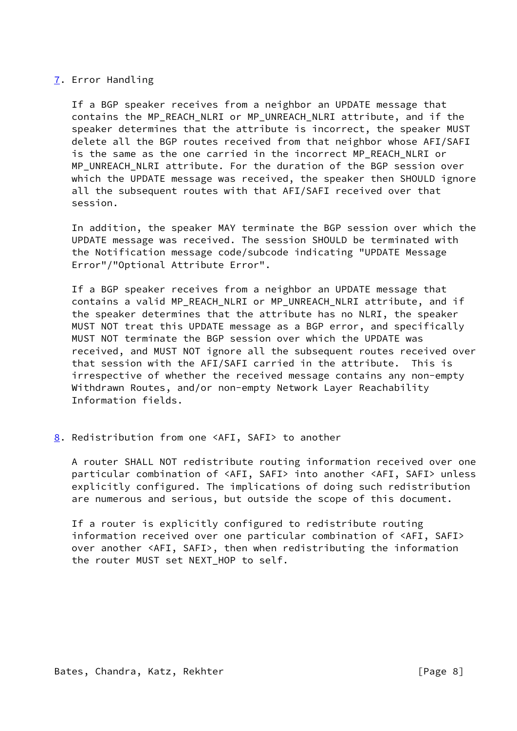# <span id="page-8-0"></span>[7](#page-8-0). Error Handling

 If a BGP speaker receives from a neighbor an UPDATE message that contains the MP\_REACH\_NLRI or MP\_UNREACH\_NLRI attribute, and if the speaker determines that the attribute is incorrect, the speaker MUST delete all the BGP routes received from that neighbor whose AFI/SAFI is the same as the one carried in the incorrect MP\_REACH\_NLRI or MP\_UNREACH\_NLRI attribute. For the duration of the BGP session over which the UPDATE message was received, the speaker then SHOULD ignore all the subsequent routes with that AFI/SAFI received over that session.

 In addition, the speaker MAY terminate the BGP session over which the UPDATE message was received. The session SHOULD be terminated with the Notification message code/subcode indicating "UPDATE Message Error"/"Optional Attribute Error".

 If a BGP speaker receives from a neighbor an UPDATE message that contains a valid MP\_REACH\_NLRI or MP\_UNREACH\_NLRI attribute, and if the speaker determines that the attribute has no NLRI, the speaker MUST NOT treat this UPDATE message as a BGP error, and specifically MUST NOT terminate the BGP session over which the UPDATE was received, and MUST NOT ignore all the subsequent routes received over that session with the AFI/SAFI carried in the attribute. This is irrespective of whether the received message contains any non-empty Withdrawn Routes, and/or non-empty Network Layer Reachability Information fields.

<span id="page-8-1"></span>[8](#page-8-1). Redistribution from one <AFI, SAFI> to another

 A router SHALL NOT redistribute routing information received over one particular combination of <AFI, SAFI> into another <AFI, SAFI> unless explicitly configured. The implications of doing such redistribution are numerous and serious, but outside the scope of this document.

 If a router is explicitly configured to redistribute routing information received over one particular combination of <AFI, SAFI> over another <AFI, SAFI>, then when redistributing the information the router MUST set NEXT\_HOP to self.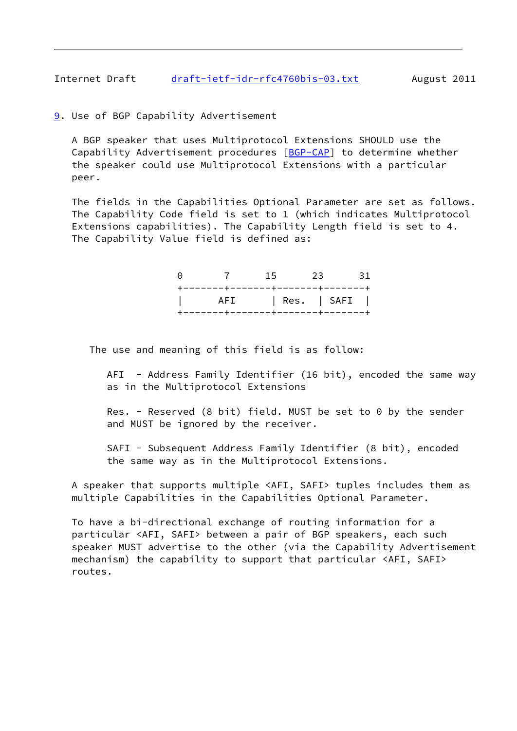Internet Draft [draft-ietf-idr-rfc4760bis-03.txt](https://datatracker.ietf.org/doc/pdf/draft-ietf-idr-rfc4760bis-03.txt) August 2011

<span id="page-9-0"></span>[9](#page-9-0). Use of BGP Capability Advertisement

 A BGP speaker that uses Multiprotocol Extensions SHOULD use the Capability Advertisement procedures [\[BGP-CAP](#page-12-2)] to determine whether the speaker could use Multiprotocol Extensions with a particular peer.

 The fields in the Capabilities Optional Parameter are set as follows. The Capability Code field is set to 1 (which indicates Multiprotocol Extensions capabilities). The Capability Length field is set to 4. The Capability Value field is defined as:

|  |  | 0 7 15 23 31                     |
|--|--|----------------------------------|
|  |  | +-------+------+-------+------+- |
|  |  | AFI   Res.   SAFI                |
|  |  | +-------+-------+-------+------+ |

The use and meaning of this field is as follow:

AFI - Address Family Identifier (16 bit), encoded the same way as in the Multiprotocol Extensions

Res. - Reserved (8 bit) field. MUST be set to 0 by the sender and MUST be ignored by the receiver.

 SAFI - Subsequent Address Family Identifier (8 bit), encoded the same way as in the Multiprotocol Extensions.

 A speaker that supports multiple <AFI, SAFI> tuples includes them as multiple Capabilities in the Capabilities Optional Parameter.

 To have a bi-directional exchange of routing information for a particular <AFI, SAFI> between a pair of BGP speakers, each such speaker MUST advertise to the other (via the Capability Advertisement mechanism) the capability to support that particular <AFI, SAFI> routes.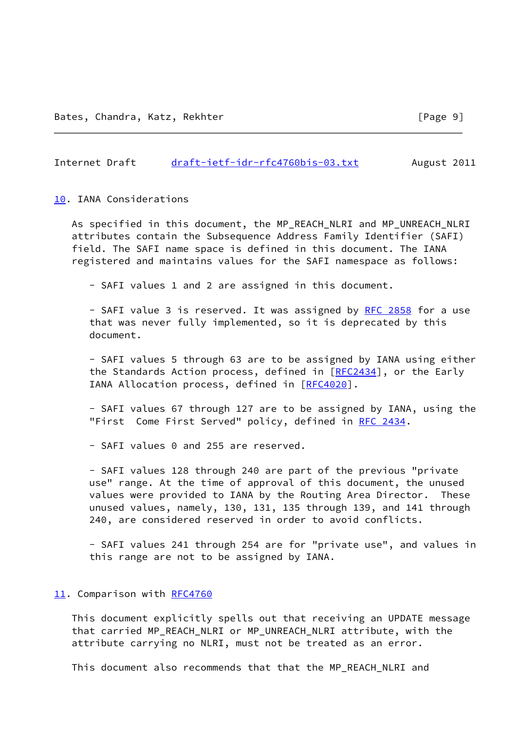### Internet Draft [draft-ietf-idr-rfc4760bis-03.txt](https://datatracker.ietf.org/doc/pdf/draft-ietf-idr-rfc4760bis-03.txt) August 2011

#### <span id="page-10-0"></span>[10.](#page-10-0) IANA Considerations

 As specified in this document, the MP\_REACH\_NLRI and MP\_UNREACH\_NLRI attributes contain the Subsequence Address Family Identifier (SAFI) field. The SAFI name space is defined in this document. The IANA registered and maintains values for the SAFI namespace as follows:

- SAFI values 1 and 2 are assigned in this document.

- SAFI value 3 is reserved. It was assigned by [RFC 2858](https://datatracker.ietf.org/doc/pdf/rfc2858) for a use that was never fully implemented, so it is deprecated by this document.

 - SAFI values 5 through 63 are to be assigned by IANA using either the Standards Action process, defined in [\[RFC2434](https://datatracker.ietf.org/doc/pdf/rfc2434)], or the Early IANA Allocation process, defined in [\[RFC4020](https://datatracker.ietf.org/doc/pdf/rfc4020)].

 - SAFI values 67 through 127 are to be assigned by IANA, using the "First Come First Served" policy, defined in [RFC 2434](https://datatracker.ietf.org/doc/pdf/rfc2434).

- SAFI values 0 and 255 are reserved.

 - SAFI values 128 through 240 are part of the previous "private use" range. At the time of approval of this document, the unused values were provided to IANA by the Routing Area Director. These unused values, namely, 130, 131, 135 through 139, and 141 through 240, are considered reserved in order to avoid conflicts.

 - SAFI values 241 through 254 are for "private use", and values in this range are not to be assigned by IANA.

#### <span id="page-10-1"></span>[11.](#page-10-1) Comparison with [RFC4760](https://datatracker.ietf.org/doc/pdf/rfc4760)

 This document explicitly spells out that receiving an UPDATE message that carried MP\_REACH\_NLRI or MP\_UNREACH\_NLRI attribute, with the attribute carrying no NLRI, must not be treated as an error.

This document also recommends that that the MP\_REACH\_NLRI and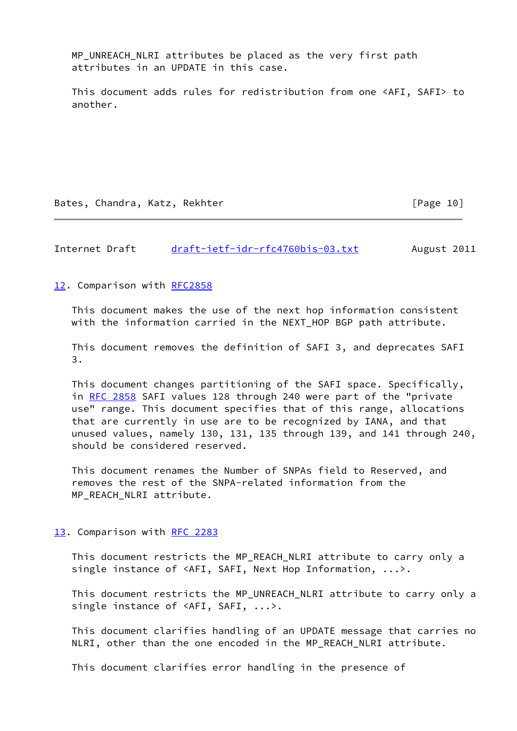MP UNREACH\_NLRI attributes be placed as the very first path attributes in an UPDATE in this case.

 This document adds rules for redistribution from one <AFI, SAFI> to another.

Bates, Chandra, Katz, Rekhter [Page 10]

Internet Draft [draft-ietf-idr-rfc4760bis-03.txt](https://datatracker.ietf.org/doc/pdf/draft-ietf-idr-rfc4760bis-03.txt) August 2011

<span id="page-11-0"></span>[12.](#page-11-0) Comparison with [RFC2858](https://datatracker.ietf.org/doc/pdf/rfc2858)

 This document makes the use of the next hop information consistent with the information carried in the NEXT\_HOP BGP path attribute.

 This document removes the definition of SAFI 3, and deprecates SAFI 3.

 This document changes partitioning of the SAFI space. Specifically, in [RFC 2858](https://datatracker.ietf.org/doc/pdf/rfc2858) SAFI values 128 through 240 were part of the "private use" range. This document specifies that of this range, allocations that are currently in use are to be recognized by IANA, and that unused values, namely 130, 131, 135 through 139, and 141 through 240, should be considered reserved.

 This document renames the Number of SNPAs field to Reserved, and removes the rest of the SNPA-related information from the MP\_REACH\_NLRI attribute.

<span id="page-11-1"></span>[13.](#page-11-1) Comparison with [RFC 2283](https://datatracker.ietf.org/doc/pdf/rfc2283)

 This document restricts the MP\_REACH\_NLRI attribute to carry only a single instance of <AFI, SAFI, Next Hop Information, ...>.

 This document restricts the MP\_UNREACH\_NLRI attribute to carry only a single instance of <AFI, SAFI, ...>.

 This document clarifies handling of an UPDATE message that carries no NLRI, other than the one encoded in the MP\_REACH\_NLRI attribute.

This document clarifies error handling in the presence of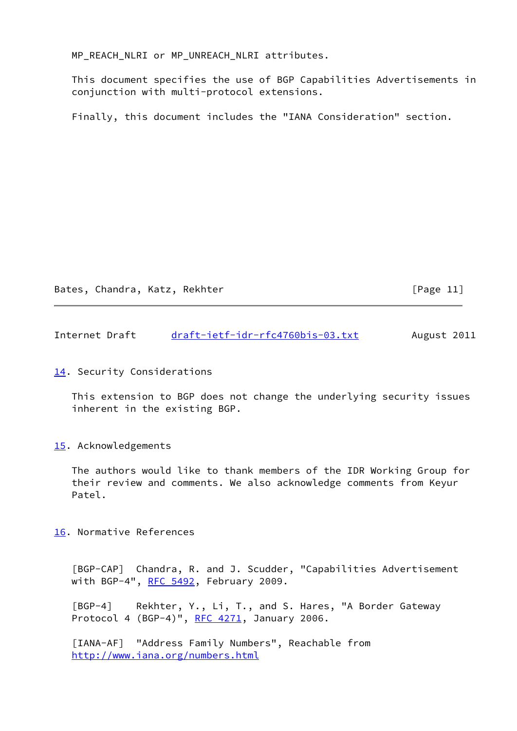MP\_REACH\_NLRI or MP\_UNREACH\_NLRI attributes.

 This document specifies the use of BGP Capabilities Advertisements in conjunction with multi-protocol extensions.

Finally, this document includes the "IANA Consideration" section.

Bates, Chandra, Katz, Rekhter [Page 11]

Internet Draft [draft-ietf-idr-rfc4760bis-03.txt](https://datatracker.ietf.org/doc/pdf/draft-ietf-idr-rfc4760bis-03.txt) August 2011

## <span id="page-12-3"></span>[14.](#page-12-3) Security Considerations

 This extension to BGP does not change the underlying security issues inherent in the existing BGP.

<span id="page-12-4"></span>[15.](#page-12-4) Acknowledgements

 The authors would like to thank members of the IDR Working Group for their review and comments. We also acknowledge comments from Keyur Patel.

<span id="page-12-5"></span>[16.](#page-12-5) Normative References

<span id="page-12-2"></span> [BGP-CAP] Chandra, R. and J. Scudder, "Capabilities Advertisement with BGP-4", [RFC 5492](https://datatracker.ietf.org/doc/pdf/rfc5492), February 2009.

<span id="page-12-0"></span> [BGP-4] Rekhter, Y., Li, T., and S. Hares, "A Border Gateway Protocol 4 (BGP-4)", [RFC 4271](https://datatracker.ietf.org/doc/pdf/rfc4271), January 2006.

<span id="page-12-1"></span> [IANA-AF] "Address Family Numbers", Reachable from <http://www.iana.org/numbers.html>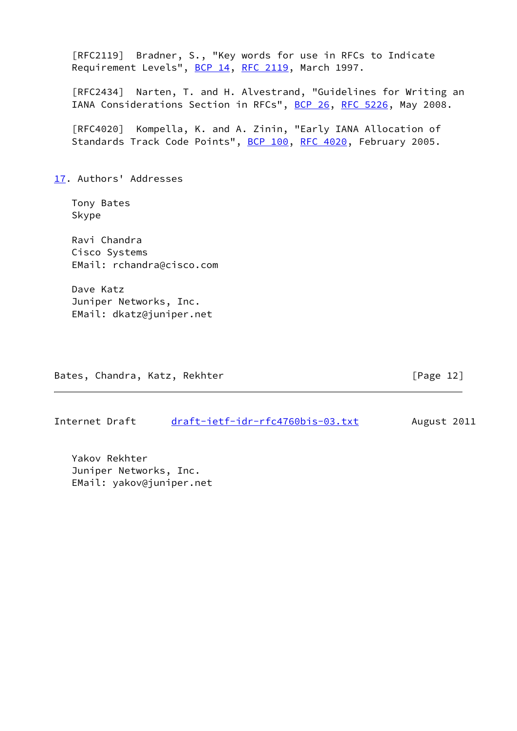<span id="page-13-0"></span>

| [RFC2119] Bradner, S., "Key words for use in RFCs to Indicate<br>Requirement Levels", BCP 14, RFC 2119, March 1997.                             |  |
|-------------------------------------------------------------------------------------------------------------------------------------------------|--|
| [RFC2434] Narten, T. and H. Alvestrand, "Guidelines for Writing an<br>IANA Considerations Section in RFCs", <u>BCP 26, RFC 5226</u> , May 2008. |  |
| [RFC4020] Kompella, K. and A. Zinin, "Early IANA Allocation of<br>Standards Track Code Points", BCP 100, RFC 4020, February 2005.               |  |
| 17. Authors' Addresses                                                                                                                          |  |
| Tony Bates<br>Skype                                                                                                                             |  |
| Ravi Chandra<br>Cisco Systems<br>EMail: rchandra@cisco.com                                                                                      |  |
| Dave Katz<br>Juniper Networks, Inc.<br>EMail: dkatz@juniper.net                                                                                 |  |
|                                                                                                                                                 |  |

Bates, Chandra, Katz, Rekhter [Page 12]

Internet Draft [draft-ietf-idr-rfc4760bis-03.txt](https://datatracker.ietf.org/doc/pdf/draft-ietf-idr-rfc4760bis-03.txt) August 2011

 Yakov Rekhter Juniper Networks, Inc. EMail: yakov@juniper.net